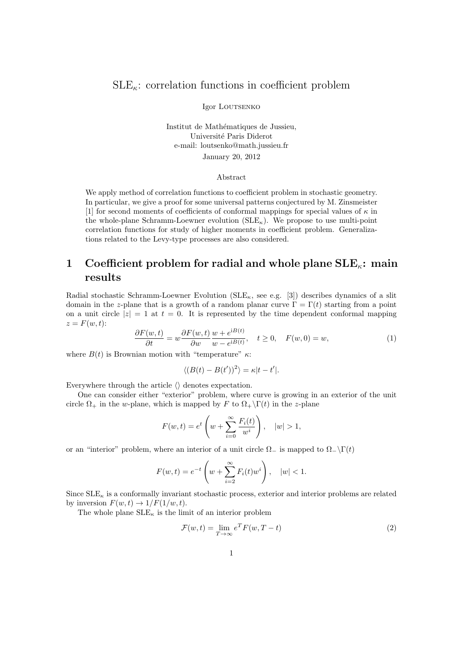### $SLE_{\kappa}$ : correlation functions in coefficient problem

Igor LOUTSENKO

Institut de Mathématiques de Jussieu, Université Paris Diderot e-mail: loutsenko@math.jussieu.fr January 20, 2012

#### Abstract

We apply method of correlation functions to coefficient problem in stochastic geometry. In particular, we give a proof for some universal patterns conjectured by M. Zinsmeister [1] for second moments of coefficients of conformal mappings for special values of  $\kappa$  in the whole-plane Schramm-Loewner evolution  $(SLE_{\kappa})$ . We propose to use multi-point correlation functions for study of higher moments in coefficient problem. Generalizations related to the Levy-type processes are also considered.

# 1 Coefficient problem for radial and whole plane  $\text{SLE}_{\kappa}$ : main results

Radial stochastic Schramm-Loewner Evolution ( $SLE_{\kappa}$ , see e.g. [3]) describes dynamics of a slit domain in the z-plane that is a growth of a random planar curve  $\Gamma = \Gamma(t)$  starting from a point on a unit circle  $|z| = 1$  at  $t = 0$ . It is represented by the time dependent conformal mapping  $z = F(w, t)$ :

$$
\frac{\partial F(w,t)}{\partial t} = w \frac{\partial F(w,t)}{\partial w} \frac{w + e^{iB(t)}}{w - e^{iB(t)}}, \quad t \ge 0, \quad F(w,0) = w,
$$
\n(1)

where  $B(t)$  is Brownian motion with "temperature"  $\kappa$ :

$$
\langle (B(t) - B(t'))^2 \rangle = \kappa |t - t'|.
$$

Everywhere through the article  $\langle \rangle$  denotes expectation.

One can consider either "exterior" problem, where curve is growing in an exterior of the unit circle  $\Omega_+$  in the w-plane, which is mapped by F to  $\Omega_+\backslash \Gamma(t)$  in the z-plane

$$
F(w,t) = e^t \left(w + \sum_{i=0}^{\infty} \frac{F_i(t)}{w^i}\right), \quad |w| > 1,
$$

or an "interior" problem, where an interior of a unit circle  $\Omega_{-}$  is mapped to  $\Omega_{-}\backslash\Gamma(t)$ 

$$
F(w,t) = e^{-t} \left( w + \sum_{i=2}^{\infty} F_i(t) w^i \right), \quad |w| < 1.
$$

Since  $\text{SLE}_\kappa$  is a conformally invariant stochastic process, exterior and interior problems are related by inversion  $F(w, t) \to 1/F(1/w, t)$ .

The whole plane  $SLE_{\kappa}$  is the limit of an interior problem

$$
\mathcal{F}(w,t) = \lim_{T \to \infty} e^T F(w, T - t)
$$
\n(2)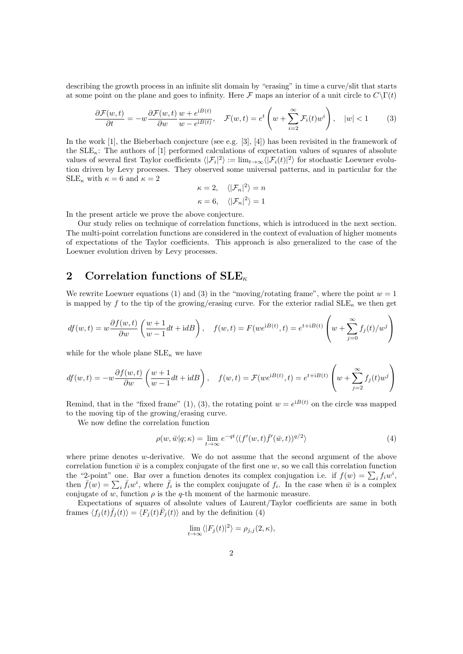describing the growth process in an infinite slit domain by "erasing" in time a curve/slit that starts at some point on the plane and goes to infinity. Here F maps an interior of a unit circle to  $C\Gamma(t)$ 

$$
\frac{\partial \mathcal{F}(w,t)}{\partial t} = -w \frac{\partial \mathcal{F}(w,t)}{\partial w} \frac{w + e^{iB(t)}}{w - e^{iB(t)}}, \quad \mathcal{F}(w,t) = e^t \left(w + \sum_{i=2}^{\infty} \mathcal{F}_i(t) w^i\right), \quad |w| < 1 \tag{3}
$$

In the work [1], the Bieberbach conjecture (see e.g. [3], [4]) has been revisited in the framework of the  $SLE_{\kappa}$ : The authors of [1] performed calculations of expectation values of squares of absolute values of several first Taylor coefficients  $\langle |\mathcal{F}_i|^2 \rangle := \lim_{t \to \infty} \langle |\mathcal{F}_i(t)|^2 \rangle$  for stochastic Loewner evolution driven by Levy processes. They observed some universal patterns, and in particular for the  $SLE_{\kappa}$  with  $\kappa = 6$  and  $\kappa = 2$ 

$$
\kappa = 2, \quad \langle |\mathcal{F}_n|^2 \rangle = n
$$
  

$$
\kappa = 6, \quad \langle |\mathcal{F}_n|^2 \rangle = 1
$$

In the present article we prove the above conjecture.

Our study relies on technique of correlation functions, which is introduced in the next section. The multi-point correlation functions are considered in the context of evaluation of higher moments of expectations of the Taylor coefficients. This approach is also generalized to the case of the Loewner evolution driven by Levy processes.

## 2 Correlation functions of  $\text{SLE}_{\kappa}$

We rewrite Loewner equations (1) and (3) in the "moving/rotating frame", where the point  $w = 1$ is mapped by f to the tip of the growing/erasing curve. For the exterior radial  $\text{SLE}_{\kappa}$  we then get

$$
df(w,t) = w \frac{\partial f(w,t)}{\partial w} \left( \frac{w+1}{w-1} dt + idB \right), \quad f(w,t) = F(we^{iB(t)},t) = e^{t+iB(t)} \left( w + \sum_{j=0}^{\infty} f_j(t)/w^j \right)
$$

while for the whole plane  $SLE_{\kappa}$  we have

$$
df(w,t) = -w \frac{\partial f(w,t)}{\partial w} \left( \frac{w+1}{w-1} dt + idB \right), \quad f(w,t) = \mathcal{F}(we^{iB(t)},t) = e^{t+iB(t)} \left( w + \sum_{j=2}^{\infty} f_j(t)w^j \right)
$$

Remind, that in the "fixed frame" (1), (3), the rotating point  $w = e^{iB(t)}$  on the circle was mapped to the moving tip of the growing/erasing curve.

We now define the correlation function

$$
\rho(w,\bar{w}|q;\kappa) = \lim_{t \to \infty} e^{-qt} \langle (f'(w,t)\bar{f}'(\bar{w},t))^{q/2} \rangle \tag{4}
$$

where prime denotes  $w$ -derivative. We do not assume that the second argument of the above correlation function  $\bar{w}$  is a complex conjugate of the first one w, so we call this correlation function the "2-point" one. Bar over a function denotes its complex conjugation i.e. if  $f(w) = \sum_i f_i w^i$ , then  $\bar{f}(w) = \sum_i \bar{f}_i w^i$ , where  $\bar{f}_i$  is the complex conjugate of  $f_i$ . In the case when  $\bar{w}$  is a complex conjugate of w, function  $\rho$  is the q-th moment of the harmonic measure.

Expectations of squares of absolute values of Laurent/Taylor coefficients are same in both frames  $\langle f_j(t)\bar{f}_j(t)\rangle = \langle F_j(t)\bar{F}_j(t)\rangle$  and by the definition (4)

$$
\lim_{t \to \infty} \langle |F_j(t)|^2 \rangle = \rho_{j,j}(2,\kappa),
$$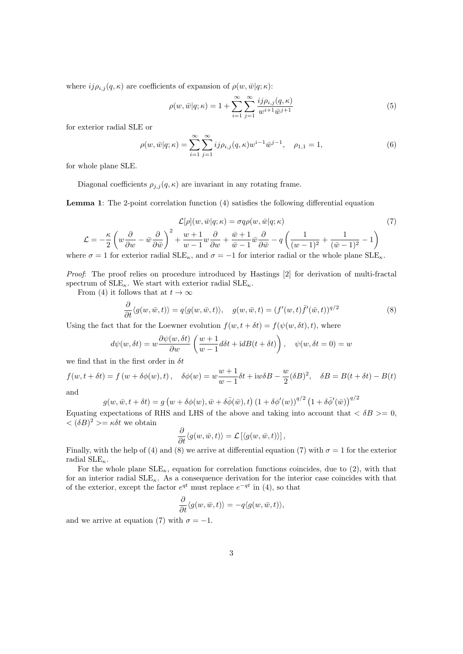where  $ij\rho_{i,j}(q,\kappa)$  are coefficients of expansion of  $\rho(w,\bar{w}|q;\kappa)$ :

$$
\rho(w,\bar{w}|q;\kappa) = 1 + \sum_{i=1}^{\infty} \sum_{j=1}^{\infty} \frac{i j \rho_{i,j}(q,\kappa)}{w^{i+1} \bar{w}^{j+1}}
$$
(5)

for exterior radial SLE or

$$
\rho(w,\bar{w}|q;\kappa) = \sum_{i=1}^{\infty} \sum_{j=1}^{\infty} ij \rho_{i,j}(q,\kappa) w^{i-1} \bar{w}^{j-1}, \quad \rho_{1,1} = 1,
$$
\n(6)

for whole plane SLE.

Diagonal coefficients  $\rho_{j,j}(q,\kappa)$  are invariant in any rotating frame.

Lemma 1: The 2-point correlation function (4) satisfies the following differential equation

$$
\mathcal{L}[\rho](w,\bar{w}|q;\kappa) = \sigma q \rho(w,\bar{w}|q;\kappa)
$$
(7)  

$$
\mathcal{L} = -\frac{\kappa}{2} \left( w \frac{\partial}{\partial w} - \bar{w} \frac{\partial}{\partial \bar{w}} \right)^2 + \frac{w+1}{w-1} w \frac{\partial}{\partial w} + \frac{\bar{w}+1}{\bar{w}-1} \bar{w} \frac{\partial}{\partial \bar{w}} - q \left( \frac{1}{(w-1)^2} + \frac{1}{(\bar{w}-1)^2} - 1 \right)
$$
  
where  $\sigma = 1$  for exterior radial SLE <sub>$\kappa$</sub> , and  $\sigma = -1$  for interior radial or the whole plane SLE <sub>$\kappa$</sub> .

Proof: The proof relies on procedure introduced by Hastings [2] for derivation of multi-fractal

spectrum of  $\text{SLE}_{\kappa}$ . We start with exterior radial  $\text{SLE}_{\kappa}$ .

From (4) it follows that at  $t \to \infty$ 

$$
\frac{\partial}{\partial t}\langle g(w,\bar{w},t)\rangle = q\langle g(w,\bar{w},t)\rangle, \quad g(w,\bar{w},t) = (f'(w,t)\bar{f}'(\bar{w},t))^{q/2}
$$
\n(8)

Using the fact that for the Loewner evolution  $f(w, t + \delta t) = f(\psi(w, \delta t), t)$ , where

$$
d\psi(w,\delta t) = w \frac{\partial \psi(w,\delta t)}{\partial w} \left( \frac{w+1}{w-1} d\delta t + idB(t+\delta t) \right), \quad \psi(w,\delta t = 0) = w
$$

we find that in the first order in  $\delta t$ 

$$
f(w, t + \delta t) = f(w + \delta \phi(w), t), \quad \delta \phi(w) = w \frac{w+1}{w-1} \delta t + i w \delta B - \frac{w}{2} (\delta B)^2, \quad \delta B = B(t + \delta t) - B(t)
$$

and

$$
g(w, \bar{w}, t + \delta t) = g(w + \delta \phi(w), \bar{w} + \delta \bar{\phi}(\bar{w}), t) (1 + \delta \phi'(w))^{q/2} (1 + \delta \bar{\phi}'(\bar{w}))^{q/2}
$$

Equating expectations of RHS and LHS of the above and taking into account that  $\langle \delta B \rangle = 0$ ,  $\langle (\delta B)^2 \rangle = \kappa \delta t$  we obtain

$$
\frac{\partial}{\partial t}\langle g(w,\bar{w},t)\rangle = \mathcal{L}\left[\langle g(w,\bar{w},t)\rangle\right],
$$

Finally, with the help of (4) and (8) we arrive at differential equation (7) with  $\sigma = 1$  for the exterior radial  $\text{SLE}_{\kappa}$ .

For the whole plane  $SLE_{\kappa}$ , equation for correlation functions coincides, due to (2), with that for an interior radial  $SLE_{\kappa}$ . As a consequence derivation for the interior case coincides with that of the exterior, except the factor  $e^{qt}$  must replace  $e^{-qt}$  in (4), so that

$$
\frac{\partial}{\partial t}\langle g(w,\bar{w},t)\rangle = -q\langle g(w,\bar{w},t)\rangle,
$$

and we arrive at equation (7) with  $\sigma = -1$ .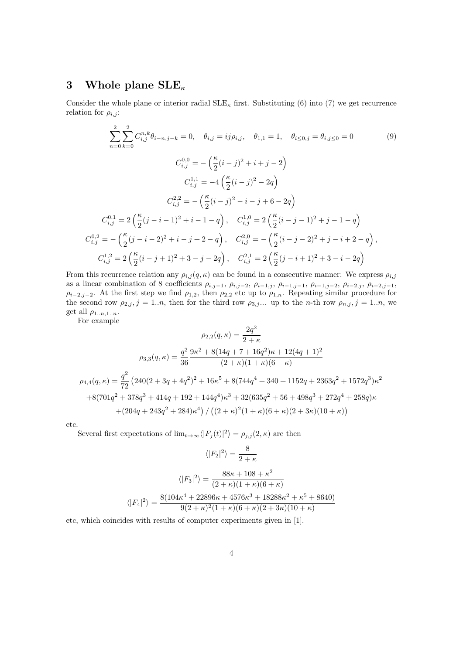## 3 Whole plane  $\text{SLE}_{\kappa}$

Consider the whole plane or interior radial  $\text{SLE}_{\kappa}$  first. Substituting (6) into (7) we get recurrence relation for  $\rho_{i,j}$ :

$$
\sum_{n=0}^{2} \sum_{k=0}^{2} C_{i,j}^{n,k} \theta_{i-n,j-k} = 0, \quad \theta_{i,j} = ij \rho_{i,j}, \quad \theta_{1,1} = 1, \quad \theta_{i \le 0,j} = \theta_{i,j \le 0} = 0 \tag{9}
$$

$$
C_{i,j}^{0,0} = -\left(\frac{\kappa}{2} (i-j)^2 + i + j - 2\right)
$$

$$
C_{i,j}^{1,1} = -4\left(\frac{\kappa}{2} (i-j)^2 - 2q\right)
$$

$$
C_{i,j}^{2,2} = -\left(\frac{\kappa}{2} (i-j)^2 - i - j + 6 - 2q\right)
$$

$$
C_{i,j}^{0,1} = 2\left(\frac{\kappa}{2} (j-i-1)^2 + i - 1 - q\right), \quad C_{i,j}^{1,0} = 2\left(\frac{\kappa}{2} (i-j-1)^2 + j - 1 - q\right)
$$

$$
C_{i,j}^{0,2} = -\left(\frac{\kappa}{2} (j-i-2)^2 + i - j + 2 - q\right), \quad C_{i,j}^{2,0} = -\left(\frac{\kappa}{2} (i-j-2)^2 + j - i + 2 - q\right),
$$

$$
C_{i,j}^{1,2} = 2\left(\frac{\kappa}{2} (i-j+1)^2 + 3 - j - 2q\right), \quad C_{i,j}^{2,1} = 2\left(\frac{\kappa}{2} (j-i+1)^2 + 3 - i - 2q\right)
$$

From this recurrence relation any  $\rho_{i,j}(q,\kappa)$  can be found in a consecutive manner: We express  $\rho_{i,j}$ as a linear combination of 8 coefficients  $\rho_{i,j-1}$ ,  $\rho_{i,j-2}$ ,  $\rho_{i-1,j}$ ,  $\rho_{i-1,j-1}$ ,  $\rho_{i-1,j-2}$ ,  $\rho_{i-2,j}$ ,  $\rho_{i-2,j-1}$ ,  $\rho_{i-2,j-2}$ . At the first step we find  $\rho_{1,2}$ , then  $\rho_{2,2}$  etc up to  $\rho_{1,n}$ . Repeating similar procedure for the second row  $\rho_{2,j}$ ,  $j = 1..n$ , then for the third row  $\rho_{3,j}$ ... up to the n-th row  $\rho_{n,j}$ ,  $j = 1..n$ , we get all  $\rho_{1..n,1..n}$ .

For example

$$
\rho_{2,2}(q,\kappa) = \frac{2q^2}{2+\kappa}
$$

$$
\rho_{3,3}(q,\kappa) = \frac{q^2}{36} \frac{9\kappa^2 + 8(14q + 7 + 16q^2)\kappa + 12(4q + 1)^2}{(2+\kappa)(1+\kappa)(6+\kappa)}
$$

$$
\rho_{4,4}(q,\kappa) = \frac{q^2}{72} (240(2+3q+4q^2)^2 + 16\kappa^5 + 8(744q^4+340+1152q+2363q^2+1572q^3)\kappa^2
$$

$$
+8(701q^2+378q^3+414q+192+144q^4)\kappa^3 + 32(635q^2+56+498q^3+272q^4+258q)\kappa
$$

$$
+ (204q+243q^2+284)\kappa^4) / ((2+\kappa)^2(1+\kappa)(6+\kappa)(2+3\kappa)(10+\kappa))
$$

etc.

Several first expectations of  $\lim_{t\to\infty} \langle |F_j(t)|^2 \rangle = \rho_{j,j}(2,\kappa)$  are then

$$
\langle |F_2|^2 \rangle = \frac{8}{2+\kappa}
$$

$$
\langle |F_3|^2 \rangle = \frac{88\kappa + 108 + \kappa^2}{(2+\kappa)(1+\kappa)(6+\kappa)}
$$

$$
\langle |F_4|^2 \rangle = \frac{8(104\kappa^4 + 22896\kappa + 4576\kappa^3 + 18288\kappa^2 + \kappa^5 + 8640)}{9(2+\kappa)^2(1+\kappa)(6+\kappa)(2+3\kappa)(10+\kappa)}
$$

etc, which coincides with results of computer experiments given in [1].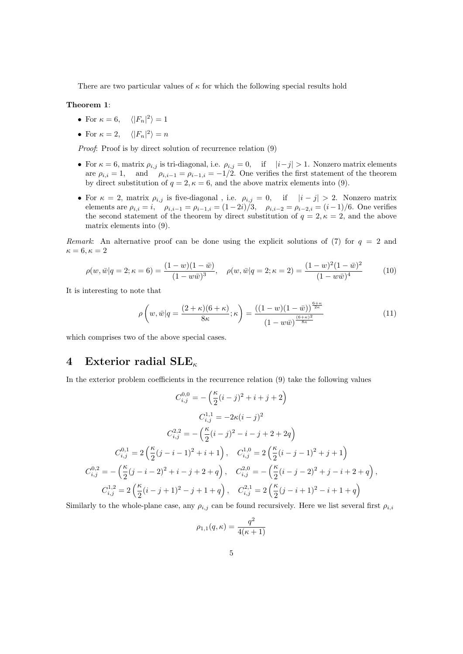There are two particular values of  $\kappa$  for which the following special results hold

#### Theorem 1:

- For  $\kappa = 6, \quad \langle |F_n|^2 \rangle = 1$
- For  $\kappa = 2$ ,  $\langle |F_n|^2 \rangle = n$

Proof: Proof is by direct solution of recurrence relation (9)

- For  $\kappa = 6$ , matrix  $\rho_{i,j}$  is tri-diagonal, i.e.  $\rho_{i,j} = 0$ , if  $|i-j| > 1$ . Nonzero matrix elements are  $\rho_{i,i} = 1$ , and  $\rho_{i,i-1} = \rho_{i-1,i} = -1/2$ . One verifies the first statement of the theorem by direct substitution of  $q = 2, \kappa = 6$ , and the above matrix elements into (9).
- For  $\kappa = 2$ , matrix  $\rho_{i,j}$  is five-diagonal, i.e.  $\rho_{i,j} = 0$ , if  $|i j| > 2$ . Nonzero matrix elements are  $\rho_{i,i} = i$ ,  $\rho_{i,i-1} = \rho_{i-1,i} = (1-2i)\tilde{ }/3,$   $\rho_{i,i-2} = \rho_{i-2,i} = (i-1)/6.$  One verifies the second statement of the theorem by direct substitution of  $q = 2, \kappa = 2$ , and the above matrix elements into (9).

Remark: An alternative proof can be done using the explicit solutions of (7) for  $q = 2$  and  $\kappa = 6, \kappa = 2$ 

$$
\rho(w,\bar{w}|q=2;\kappa=6) = \frac{(1-w)(1-\bar{w})}{(1-w\bar{w})^3}, \quad \rho(w,\bar{w}|q=2;\kappa=2) = \frac{(1-w)^2(1-\bar{w})^2}{(1-w\bar{w})^4}
$$
(10)

It is interesting to note that

$$
\rho\left(w,\bar{w}|q=\frac{(2+\kappa)(6+\kappa)}{8\kappa};\kappa\right)=\frac{((1-w)(1-\bar{w}))^{\frac{6+\kappa}{2\kappa}}}{(1-w\bar{w})^{\frac{(6+\kappa)^2}{8\kappa}}}
$$
(11)

which comprises two of the above special cases.

#### 4 Exterior radial  $\text{SLE}_{\kappa}$

In the exterior problem coefficients in the recurrence relation (9) take the following values

$$
C_{i,j}^{0,0} = -\left(\frac{\kappa}{2}(i-j)^2 + i + j + 2\right)
$$
  
\n
$$
C_{i,j}^{1,1} = -2\kappa(i-j)^2
$$
  
\n
$$
C_{i,j}^{2,2} = -\left(\frac{\kappa}{2}(i-j)^2 - i - j + 2 + 2q\right)
$$
  
\n
$$
C_{i,j}^{0,1} = 2\left(\frac{\kappa}{2}(j-i-1)^2 + i + 1\right), \quad C_{i,j}^{1,0} = 2\left(\frac{\kappa}{2}(i-j-1)^2 + j + 1\right)
$$
  
\n
$$
C_{i,j}^{0,2} = -\left(\frac{\kappa}{2}(j-i-2)^2 + i - j + 2 + q\right), \quad C_{i,j}^{2,0} = -\left(\frac{\kappa}{2}(i-j-2)^2 + j - i + 2 + q\right),
$$
  
\n
$$
C_{i,j}^{1,2} = 2\left(\frac{\kappa}{2}(i-j+1)^2 - j + 1 + q\right), \quad C_{i,j}^{2,1} = 2\left(\frac{\kappa}{2}(j-i+1)^2 - i + 1 + q\right)
$$

Similarly to the whole-plane case, any  $\rho_{i,j}$  can be found recursively. Here we list several first  $\rho_{i,i}$ 

$$
\rho_{1,1}(q,\kappa) = \frac{q^2}{4(\kappa + 1)}
$$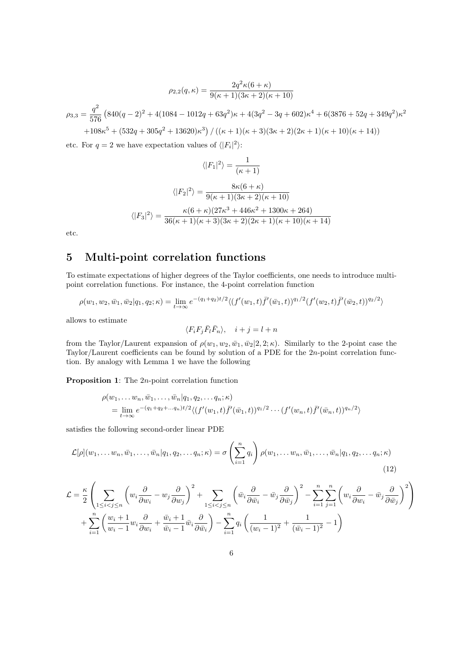$$
\rho_{2,2}(q,\kappa) = \frac{2q^2\kappa(6+\kappa)}{9(\kappa+1)(3\kappa+2)(\kappa+10)}
$$

$$
\rho_{3,3} = \frac{q^2}{576} \left( 840(q-2)^2 + 4(1084 - 1012q + 63q^2)\kappa + 4(3q^2 - 3q + 602)\kappa^4 + 6(3876 + 52q + 349q^2)\kappa^2 + 108\kappa^5 + (532q + 305q^2 + 13620)\kappa^3 \right) / \left( (\kappa+1)(\kappa+3)(3\kappa+2)(2\kappa+1)(\kappa+10)(\kappa+14) \right)
$$

etc. For  $q = 2$  we have expectation values of  $\langle |F_i|^2 \rangle$ :

$$
\langle |F_1|^2 \rangle = \frac{1}{(\kappa + 1)}
$$

$$
\langle |F_2|^2 \rangle = \frac{8\kappa(6 + \kappa)}{9(\kappa + 1)(3\kappa + 2)(\kappa + 10)}
$$

$$
\langle |F_3|^2 \rangle = \frac{\kappa(6 + \kappa)(27\kappa^3 + 446\kappa^2 + 1300\kappa + 264)}{36(\kappa + 1)(\kappa + 3)(3\kappa + 2)(2\kappa + 1)(\kappa + 10)(\kappa + 14)}
$$

etc.

# 5 Multi-point correlation functions

To estimate expectations of higher degrees of the Taylor coefficients, one needs to introduce multipoint correlation functions. For instance, the 4-point correlation function

$$
\rho(w_1, w_2, \bar{w}_1, \bar{w}_2 | q_1, q_2; \kappa) = \lim_{t \to \infty} e^{-(q_1 + q_2)t/2} \langle (f'(w_1, t) \bar{f}'(\bar{w}_1, t))^{q_1/2} (f'(w_2, t) \bar{f}'(\bar{w}_2, t))^{q_2/2} \rangle
$$

allows to estimate

$$
\langle F_i F_j \bar{F}_l \bar{F}_n \rangle, \quad i+j = l+n
$$

from the Taylor/Laurent expansion of  $\rho(w_1, w_2, \bar{w}_1, \bar{w}_2 | 2, 2; \kappa)$ . Similarly to the 2-point case the Taylor/Laurent coefficients can be found by solution of a PDE for the 2n-point correlation function. By analogy with Lemma 1 we have the following

Proposition 1: The 2n-point correlation function

$$
\rho(w_1, \ldots w_n, \bar{w}_1, \ldots, \bar{w}_n | q_1, q_2, \ldots q_n; \kappa) \n= \lim_{t \to \infty} e^{-(q_1 + q_2 + \ldots q_n)t/2} \langle (f'(w_1, t)) \bar{f}'(\bar{w}_1, t))^{q_1/2} \cdots (f'(w_n, t)) \bar{f}'(\bar{w}_n, t) \rangle^{q_n/2} \rangle
$$

satisfies the following second-order linear PDE

$$
\mathcal{L}[\rho](w_1,\ldots w_n,\bar{w}_1,\ldots,\bar{w}_n|q_1,q_2,\ldots q_n;\kappa) = \sigma\left(\sum_{i=1}^n q_i\right)\rho(w_1,\ldots w_n,\bar{w}_1,\ldots,\bar{w}_n|q_1,q_2,\ldots q_n;\kappa)
$$
\n(12)

$$
\mathcal{L} = \frac{\kappa}{2} \left( \sum_{1 \leq i < j \leq n} \left( w_i \frac{\partial}{\partial w_i} - w_j \frac{\partial}{\partial w_j} \right)^2 + \sum_{1 \leq i < j \leq n} \left( \bar{w}_i \frac{\partial}{\partial \bar{w}_i} - \bar{w}_j \frac{\partial}{\partial \bar{w}_j} \right)^2 - \sum_{i=1}^n \sum_{j=1}^n \left( w_i \frac{\partial}{\partial w_i} - \bar{w}_j \frac{\partial}{\partial \bar{w}_j} \right)^2 \right) + \sum_{i=1}^n \left( \frac{w_i + 1}{w_i - 1} w_i \frac{\partial}{\partial w_i} + \frac{\bar{w}_i + 1}{\bar{w}_i - 1} \bar{w}_i \frac{\partial}{\partial \bar{w}_i} \right) - \sum_{i=1}^n q_i \left( \frac{1}{(w_i - 1)^2} + \frac{1}{(\bar{w}_i - 1)^2} - 1 \right)
$$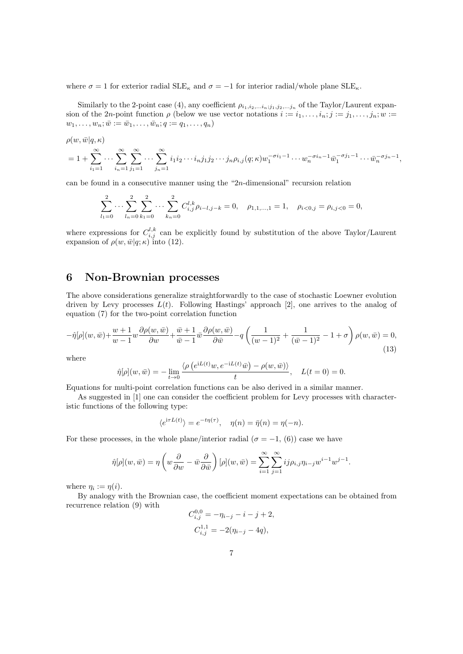where  $\sigma = 1$  for exterior radial SLE<sub> $\kappa$ </sub> and  $\sigma = -1$  for interior radial/whole plane SLE<sub> $\kappa$ </sub>.

Similarly to the 2-point case (4), any coefficient  $\rho_{i_1,i_2,...i_n,j_1,j_2,...j_n}$  of the Taylor/Laurent expansion of the 2n-point function  $\rho$  (below we use vector notations  $i := i_1, \ldots, i_n; j := j_1, \ldots, j_n; w :=$  $w_1, \ldots, w_n; \bar{w} := \bar{w}_1, \ldots, \bar{w}_n; q := q_1, \ldots, q_n)$ 

$$
\rho(w,\bar{w}|q,\kappa) = 1 + \sum_{i_1=1}^{\infty} \cdots \sum_{i_n=1}^{\infty} \sum_{j_1=1}^{\infty} \cdots \sum_{j_n=1}^{\infty} i_1 i_2 \cdots i_n j_1 j_2 \cdots j_n \rho_{i,j}(q;\kappa) w_1^{-\sigma i_1-1} \cdots w_n^{-\sigma i_n-1} \bar{w}_1^{-\sigma j_1-1} \cdots \bar{w}_n^{-\sigma j_n-1},
$$

can be found in a consecutive manner using the "2n-dimensional" recursion relation

$$
\sum_{l_1=0}^2 \cdots \sum_{l_n=0}^2 \sum_{k_1=0}^2 \cdots \sum_{k_n=0}^2 C_{i,j}^{l,k} \rho_{i-l,j-k} = 0, \quad \rho_{1,1,\dots,1} = 1, \quad \rho_{i<0,j} = \rho_{i,j<0} = 0,
$$

where expressions for  $C_{i,j}^{l,k}$  can be explicitly found by substitution of the above Taylor/Laurent expansion of  $\rho(w,\bar{w}|q;\kappa)$  into (12).

## 6 Non-Brownian processes

The above considerations generalize straightforwardly to the case of stochastic Loewner evolution driven by Levy processes  $L(t)$ . Following Hastings' approach [2], one arrives to the analog of equation (7) for the two-point correlation function

$$
-\hat{\eta}[\rho](w,\bar{w}) + \frac{w+1}{w-1}w\frac{\partial\rho(w,\bar{w})}{\partial w} + \frac{\bar{w}+1}{\bar{w}-1}\bar{w}\frac{\partial\rho(w,\bar{w})}{\partial \bar{w}} - q\left(\frac{1}{(w-1)^2} + \frac{1}{(\bar{w}-1)^2} - 1 + \sigma\right)\rho(w,\bar{w}) = 0,
$$
\n(13)

where

$$
\hat{\eta}[\rho](w,\bar{w}) = -\lim_{t \to 0} \frac{\langle \rho(e^{iL(t)}w, e^{-iL(t)}\bar{w}) - \rho(w,\bar{w}) \rangle}{t}, \quad L(t=0) = 0.
$$

Equations for multi-point correlation functions can be also derived in a similar manner.

As suggested in [1] one can consider the coefficient problem for Levy processes with characteristic functions of the following type:

$$
\langle e^{i\tau L(t)} \rangle = e^{-t\eta(\tau)}, \quad \eta(n) = \bar{\eta}(n) = \eta(-n).
$$

For these processes, in the whole plane/interior radial ( $\sigma = -1$ , (6)) case we have

$$
\hat{\eta}[\rho](w,\bar{w}) = \eta \left(w\frac{\partial}{\partial w} - \bar{w}\frac{\partial}{\partial \bar{w}}\right)[\rho](w,\bar{w}) = \sum_{i=1}^{\infty} \sum_{j=1}^{\infty} ij \rho_{i,j} \eta_{i-j} w^{i-1} w^{j-1}.
$$

where  $\eta_i := \eta(i)$ .

By analogy with the Brownian case, the coefficient moment expectations can be obtained from recurrence relation (9) with

$$
C_{i,j}^{0,0} = -\eta_{i-j} - i - j + 2,
$$
  

$$
C_{i,j}^{1,1} = -2(\eta_{i-j} - 4q),
$$